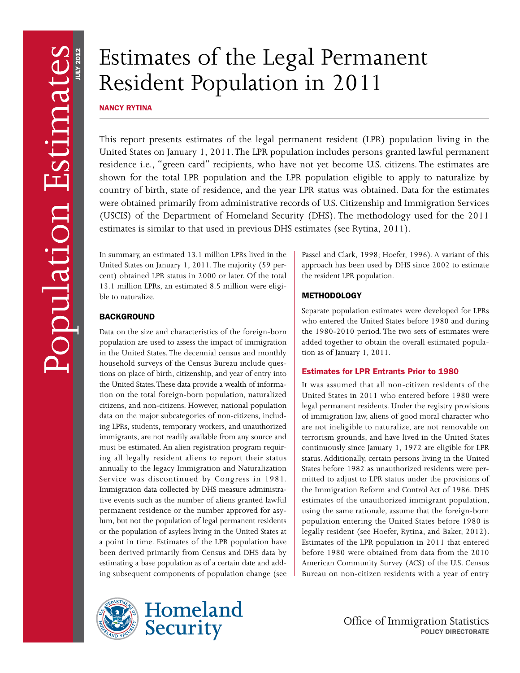# Estimates of the Legal Permanent Resident Population in 2011

NANCY RYTINA

This report presents estimates of the legal permanent resident (LPR) population living in the United States on January 1, 2011. The LPR population includes persons granted lawful permanent residence i.e., "green card" recipients, who have not yet become U.S. citizens. The estimates are shown for the total LPR population and the LPR population eligible to apply to naturalize by country of birth, state of residence, and the year LPR status was obtained. Data for the estimates were obtained primarily from administrative records of U.S. Citizenship and Immigration Services (USCIS) of the Department of Homeland Security (DHS). The methodology used for the 2011 estimates is similar to that used in previous DHS estimates (see Rytina, 2011).

In summary, an estimated 13.1 million LPRs lived in the United States on January 1, 2011. The majority (59 percent) obtained LPR status in 2000 or later. Of the total 13.1 million LPRs, an estimated 8.5 million were eligible to naturalize.

# **BACKGROUND**

Data on the size and characteristics of the foreign-born population are used to assess the impact of immigration in the United States. The decennial census and monthly household surveys of the Census Bureau include questions on place of birth, citizenship, and year of entry into the United States. These data provide a wealth of information on the total foreign-born population, naturalized citizens, and non-citizens. However, national population data on the major subcategories of non-citizens, including LPRs, students, temporary workers, and unauthorized immigrants, are not readily available from any source and must be estimated. An alien registration program requiring all legally resident aliens to report their status annually to the legacy Immigration and Naturalization Service was discontinued by Congress in 1981. Immigration data collected by DHS measure administrative events such as the number of aliens granted lawful permanent residence or the number approved for asylum, but not the population of legal permanent residents or the population of asylees living in the United States at a point in time. Estimates of the LPR population have been derived primarily from Census and DHS data by estimating a base population as of a certain date and adding subsequent components of population change (see





Passel and Clark, 1998; Hoefer, 1996). A variant of this approach has been used by DHS since 2002 to estimate the resident LPR population.

# **METHODOLOGY**

Separate population estimates were developed for LPRs who entered the United States before 1980 and during the 1980-2010 period. The two sets of estimates were added together to obtain the overall estimated population as of January 1, 2011.

# Estimates for LPR Entrants Prior to 1980

It was assumed that all non-citizen residents of the United States in 2011 who entered before 1980 were legal permanent residents. Under the registry provisions of immigration law, aliens of good moral character who are not ineligible to naturalize, are not removable on terrorism grounds, and have lived in the United States continuously since January 1, 1972 are eligible for LPR status. Additionally, certain persons living in the United States before 1982 as unauthorized residents were permitted to adjust to LPR status under the provisions of the Immigration Reform and Control Act of 1986. DHS estimates of the unauthorized immigrant population, using the same rationale, assume that the foreign-born population entering the United States before 1980 is legally resident (see Hoefer, Rytina, and Baker, 2012). Estimates of the LPR population in 2011 that entered before 1980 were obtained from data from the 2010 American Community Survey (ACS) of the U.S. Census Bureau on non-citizen residents with a year of entry

> Office of Immigration Statistics POLICY DIRECTORATE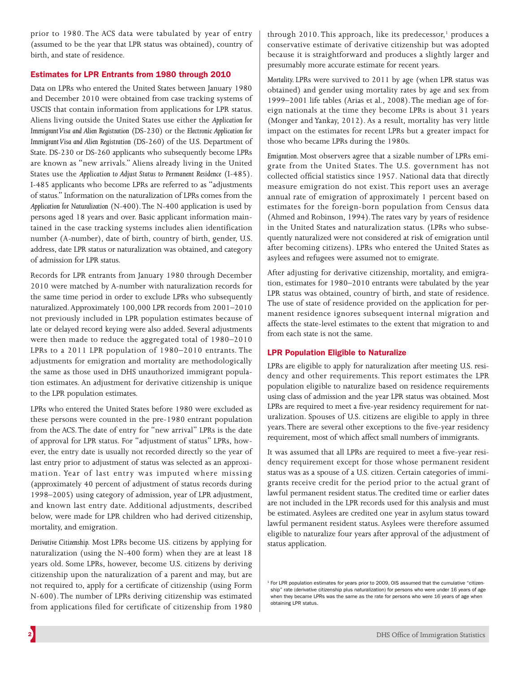prior to 1980. The ACS data were tabulated by year of entry (assumed to be the year that LPR status was obtained), country of birth, and state of residence.

# Estimates for LPR Entrants from 1980 through 2010

Data on LPRs who entered the United States between January 1980 and December 2010 were obtained from case tracking systems of USCIS that contain information from applications for LPR status. Aliens living outside the United States use either the *Application for Immigrant Visa and Alien Registration* (DS-230) or the *Electronic Application for Immigrant Visa and Alien Registration* (DS-260) of the U.S. Department of State. DS-230 or DS-260 applicants who subsequently become LPRs are known as "new arrivals." Aliens already living in the United States use the *Application to Adjust Status to Permanent Residence* (I-485). I-485 applicants who become LPRs are referred to as "adjustments of status." Information on the naturalization of LPRs comes from the *Application for Naturalization* (N-400). The N-400 application is used by persons aged 18 years and over. Basic applicant information maintained in the case tracking systems includes alien identification number (A-number), date of birth, country of birth, gender, U.S. address, date LPR status or naturalization was obtained, and category of admission for LPR status.

Records for LPR entrants from January 1980 through December 2010 were matched by A-number with naturalization records for the same time period in order to exclude LPRs who subsequently naturalized. Approximately 100,000 LPR records from 2001–2010 not previously included in LPR population estimates because of late or delayed record keying were also added. Several adjustments were then made to reduce the aggregated total of 1980–2010 LPRs to a 2011 LPR population of 1980–2010 entrants. The adjustments for emigration and mortality are methodologically the same as those used in DHS unauthorized immigrant population estimates. An adjustment for derivative citizenship is unique to the LPR population estimates.

LPRs who entered the United States before 1980 were excluded as these persons were counted in the pre-1980 entrant population from the ACS. The date of entry for "new arrival" LPRs is the date of approval for LPR status. For "adjustment of status" LPRs, however, the entry date is usually not recorded directly so the year of last entry prior to adjustment of status was selected as an approximation. Year of last entry was imputed where missing (approximately 40 percent of adjustment of status records during 1998–2005) using category of admission, year of LPR adjustment, and known last entry date. Additional adjustments, described below, were made for LPR children who had derived citizenship, mortality, and emigration.

*Derivative Citizenship.* Most LPRs become U.S. citizens by applying for naturalization (using the N-400 form) when they are at least 18 years old. Some LPRs, however, become U.S. citizens by deriving citizenship upon the naturalization of a parent and may, but are not required to, apply for a certificate of citizenship (using Form N-600). The number of LPRs deriving citizenship was estimated from applications filed for certificate of citizenship from 1980

through 2010. This approach, like its predecessor,<sup>1</sup> produces a conservative estimate of derivative citizenship but was adopted because it is straightforward and produces a slightly larger and presumably more accurate estimate for recent years.

*Mortality.* LPRs were survived to 2011 by age (when LPR status was obtained) and gender using mortality rates by age and sex from 1999–2001 life tables (Arias et al., 2008). The median age of foreign nationals at the time they become LPRs is about 31 years (Monger and Yankay, 2012). As a result, mortality has very little impact on the estimates for recent LPRs but a greater impact for those who became LPRs during the 1980s.

*Emigration.* Most observers agree that a sizable number of LPRs emigrate from the United States. The U.S. government has not collected official statistics since 1957. National data that directly measure emigration do not exist. This report uses an average annual rate of emigration of approximately 1 percent based on estimates for the foreign-born population from Census data (Ahmed and Robinson, 1994). The rates vary by years of residence in the United States and naturalization status. (LPRs who subsequently naturalized were not considered at risk of emigration until after becoming citizens). LPRs who entered the United States as asylees and refugees were assumed not to emigrate.

After adjusting for derivative citizenship, mortality, and emigration, estimates for 1980–2010 entrants were tabulated by the year LPR status was obtained, country of birth, and state of residence. The use of state of residence provided on the application for permanent residence ignores subsequent internal migration and affects the state-level estimates to the extent that migration to and from each state is not the same.

# LPR Population Eligible to Naturalize

LPRs are eligible to apply for naturalization after meeting U.S. residency and other requirements. This report estimates the LPR population eligible to naturalize based on residence requirements using class of admission and the year LPR status was obtained. Most LPRs are required to meet a five-year residency requirement for naturalization. Spouses of U.S. citizens are eligible to apply in three years. There are several other exceptions to the five-year residency requirement, most of which affect small numbers of immigrants.

It was assumed that all LPRs are required to meet a five-year residency requirement except for those whose permanent resident status was as a spouse of a U.S. citizen. Certain categories of immigrants receive credit for the period prior to the actual grant of lawful permanent resident status. The credited time or earlier dates are not included in the LPR records used for this analysis and must be estimated. Asylees are credited one year in asylum status toward lawful permanent resident status. Asylees were therefore assumed eligible to naturalize four years after approval of the adjustment of status application.

<sup>&</sup>lt;sup>1</sup> For LPR population estimates for years prior to 2009, OIS assumed that the cumulative "citizenship" rate (derivative citizenship plus naturalization) for persons who were under 16 years of age when they became LPRs was the same as the rate for persons who were 16 years of age when obtaining LPR status.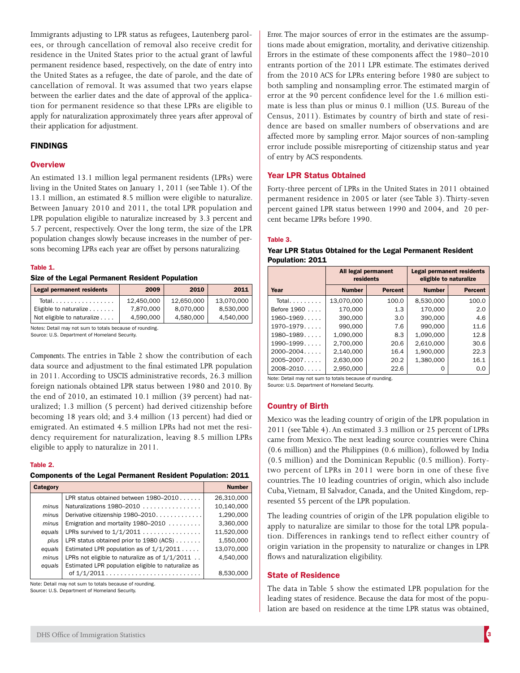Immigrants adjusting to LPR status as refugees, Lautenberg parolees, or through cancellation of removal also receive credit for residence in the United States prior to the actual grant of lawful permanent residence based, respectively, on the date of entry into the United States as a refugee, the date of parole, and the date of cancellation of removal. It was assumed that two years elapse between the earlier dates and the date of approval of the application for permanent residence so that these LPRs are eligible to apply for naturalization approximately three years after approval of their application for adjustment.

# FINDINGS

## **Overview**

An estimated 13.1 million legal permanent residents (LPRs) were living in the United States on January 1, 2011 (see Table 1). Of the 13.1 million, an estimated 8.5 million were eligible to naturalize. Between January 2010 and 2011, the total LPR population and LPR population eligible to naturalize increased by 3.3 percent and 5.7 percent, respectively. Over the long term, the size of the LPR population changes slowly because increases in the number of persons becoming LPRs each year are offset by persons naturalizing.

## Table 1.

#### Size of the Legal Permanent Resident Population

| <b>Legal permanent residents</b> | 2009       | 2010       | 2011       |
|----------------------------------|------------|------------|------------|
| Total.                           | 12.450.000 | 12.650.000 | 13.070.000 |
| Eligible to naturalize           | 7.870.000  | 8.070.000  | 8.530.000  |
| Not eligible to naturalize       | 4.590.000  | 4.580.000  | 4.540.000  |

Notes: Detail may not sum to totals because of rounding. Source: U.S. Department of Homeland Security.

*Components.* The entries in Table 2 show the contribution of each data source and adjustment to the final estimated LPR population in 2011. According to USCIS administrative records, 26.3 million foreign nationals obtained LPR status between 1980 and 2010. By the end of 2010, an estimated 10.1 million (39 percent) had naturalized; 1.3 million (5 percent) had derived citizenship before becoming 18 years old; and 3.4 million (13 percent) had died or emigrated. An estimated 4.5 million LPRs had not met the residency requirement for naturalization, leaving 8.5 million LPRs eligible to apply to naturalize in 2011.

#### Table 2.

# Components of the Legal Permanent Resident Population: 2011

| Category |                                                    | <b>Number</b> |
|----------|----------------------------------------------------|---------------|
|          | LPR status obtained between 1980–2010              | 26,310,000    |
| minus    | Naturalizations $1980 - 2010$                      | 10,140,000    |
| minus    | Derivative citizenship 1980-2010.                  | 1,290,000     |
| minus    | Emigration and mortality $1980 - 2010$             | 3,360,000     |
| equals   | LPRs survived to $1/1/2011$                        | 11,520,000    |
| plus     | LPR status obtained prior to 1980 (ACS)            | 1.550.000     |
| equals   | Estimated LPR population as of $1/1/2011$          | 13,070,000    |
| minus    | LPRs not eligible to naturalize as of $1/1/2011$   | 4.540.000     |
| equals   | Estimated LPR population eligible to naturalize as |               |
|          | of $1/1/2011$                                      | 8.530,000     |

Note: Detail may not sum to totals because of rounding.

Source: U.S. Department of Homeland Security.

*Error.* The major sources of error in the estimates are the assumptions made about emigration, mortality, and derivative citizenship. Errors in the estimate of these components affect the 1980–2010 entrants portion of the 2011 LPR estimate. The estimates derived from the 2010 ACS for LPRs entering before 1980 are subject to both sampling and nonsampling error. The estimated margin of error at the 90 percent confidence level for the 1.6 million estimate is less than plus or minus 0.1 million (U.S. Bureau of the Census, 2011). Estimates by country of birth and state of residence are based on smaller numbers of observations and are affected more by sampling error. Major sources of non-sampling error include possible misreporting of citizenship status and year of entry by ACS respondents.

## Year LPR Status Obtained

Forty-three percent of LPRs in the United States in 2011 obtained permanent residence in 2005 or later (see Table 3). Thirty-seven percent gained LPR status between 1990 and 2004, and 20 percent became LPRs before 1990.

### Table 3.

| Year LPR Status Obtained for the Legal Permanent Resident |  |
|-----------------------------------------------------------|--|
| Population: 2011                                          |  |

|                 | All legal permanent<br>residents |                | <b>Legal permanent residents</b><br>eligible to naturalize |                |
|-----------------|----------------------------------|----------------|------------------------------------------------------------|----------------|
| Year            | <b>Number</b>                    | <b>Percent</b> | <b>Number</b>                                              | <b>Percent</b> |
| Total. $\ldots$ | 13,070,000                       | 100.0          | 8,530,000                                                  | 100.0          |
| Before 1960     | 170.000                          | 1.3            | 170.000                                                    | 2.0            |
| $1960 - 1969$   | 390,000                          | 3.0            | 390,000                                                    | 4.6            |
| $1970 - 1979$   | 990.000                          | 7.6            | 990.000                                                    | 11.6           |
| $1980 - 1989$   | 1.090.000                        | 8.3            | 1.090.000                                                  | 12.8           |
| $1990 - 1999$   | 2.700.000                        | 20.6           | 2.610.000                                                  | 30.6           |
| $2000 - 2004$   | 2.140.000                        | 16.4           | 1.900.000                                                  | 22.3           |
| $2005 - 2007$   | 2.630.000                        | 20.2           | 1.380.000                                                  | 16.1           |
| $2008 - 2010$   | 2.950.000                        | 22.6           | Ω                                                          | 0.0            |

Note: Detail may not sum to totals because of rounding.

Source: U.S. Department of Homeland Security.

# Country of Birth

Mexico was the leading country of origin of the LPR population in 2011 (see Table 4). An estimated 3.3 million or 25 percent of LPRs came from Mexico. The next leading source countries were China (0.6 million) and the Philippines (0.6 million), followed by India (0.5 million) and the Dominican Republic (0.5 million). Fortytwo percent of LPRs in 2011 were born in one of these five countries. The 10 leading countries of origin, which also include Cuba, Vietnam, El Salvador, Canada, and the United Kingdom, represented 55 percent of the LPR population.

The leading countries of origin of the LPR population eligible to apply to naturalize are similar to those for the total LPR population. Differences in rankings tend to reflect either country of origin variation in the propensity to naturalize or changes in LPR flows and naturalization eligibility.

## State of Residence

The data in Table 5 show the estimated LPR population for the leading states of residence. Because the data for most of the population are based on residence at the time LPR status was obtained,